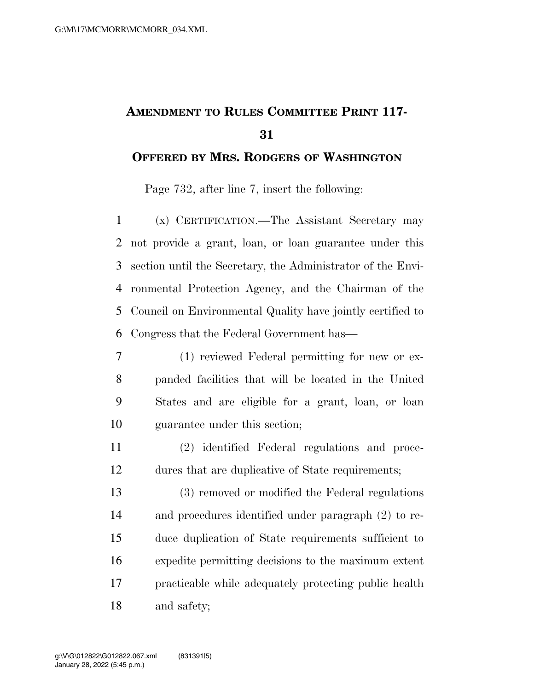## **AMENDMENT TO RULES COMMITTEE PRINT 117-**

## **OFFERED BY MRS. RODGERS OF WASHINGTON**

Page 732, after line 7, insert the following:

 (x) CERTIFICATION.—The Assistant Secretary may not provide a grant, loan, or loan guarantee under this section until the Secretary, the Administrator of the Envi- ronmental Protection Agency, and the Chairman of the Council on Environmental Quality have jointly certified to Congress that the Federal Government has—

 (1) reviewed Federal permitting for new or ex- panded facilities that will be located in the United States and are eligible for a grant, loan, or loan guarantee under this section;

 (2) identified Federal regulations and proce-dures that are duplicative of State requirements;

 (3) removed or modified the Federal regulations and procedures identified under paragraph (2) to re- duce duplication of State requirements sufficient to expedite permitting decisions to the maximum extent practicable while adequately protecting public health and safety;